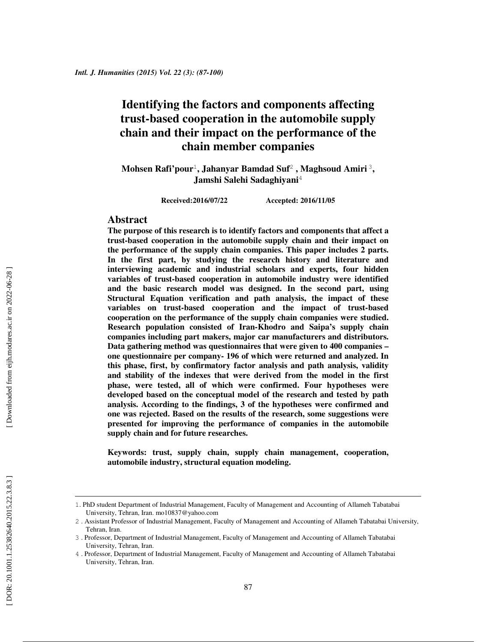# **Identifying the factors and components affecting trust-based cooperation in the automobile supply chain and their impact on the performance of the chain member companies**

Mohsen Rafi'pour<sup>1</sup>, Jahanyar Bamdad Suf<sup>2</sup>, Maghsoud Amiri<sup>3</sup>, **Jamshi Salehi Sadaghiyani** 4

**Received:2016/07/22 Accepted: 2016/11/05** 

#### **Abstract**

**The purpose of this research is to identify factors and components that affect a trust-based cooperation in the automobile supply chain and their impact on the performance of the supply chain companies. This paper includes 2 parts. In the first part, by studying the research history and literature and interviewing academic and industrial scholars and experts, four hidden variables of trust-based cooperation in automobile industry were identified and the basic research model was designed. In the second part, using Structural Equation verification and path analysis, the impact of these variables on trust-based cooperation and the impact of trust-based cooperation on the performance of the supply chain companies were studied. Research population consisted of Iran-Khodro and Saipa's supply chain companies including part makers, major car manufacturers and distributors. Data gathering method was questionnaires that were given to 400 companies – one questionnaire per company- 196 of which were returned and analyzed. In this phase, first, by confirmatory factor analysis and path analysis, validity and stability of the indexes that were derived from the model in the first phase, were tested, all of which were confirmed. Four hypotheses were developed based on the conceptual model of the research and tested by path analysis. According to the findings, 3 of the hypotheses were confirmed and one was rejected. Based on the results of the research, some suggestions were presented for improving the performance of companies in the automobile supply chain and for future researches.** 

**Keywords: trust, supply chain, supply chain management, cooperation, automobile industry, structural equation modeling.** 

<sup>1</sup>. PhD student Department of Industrial Management, Faculty of Management and Accounting of Allameh Tabatabai University, Tehran, Iran. mo10837@yahoo.com

<sup>2</sup> . Assistant Professor of Industrial Management, Faculty of Management and Accounting of Allameh Tabatabai University, Tehran, Iran.

<sup>3</sup> . Professor, Department of Industrial Management, Faculty of Management and Accounting of Allameh Tabatabai University, Tehran, Iran.

<sup>4</sup> . Professor, Department of Industrial Management, Faculty of Management and Accounting of Allameh Tabatabai University, Tehran, Iran.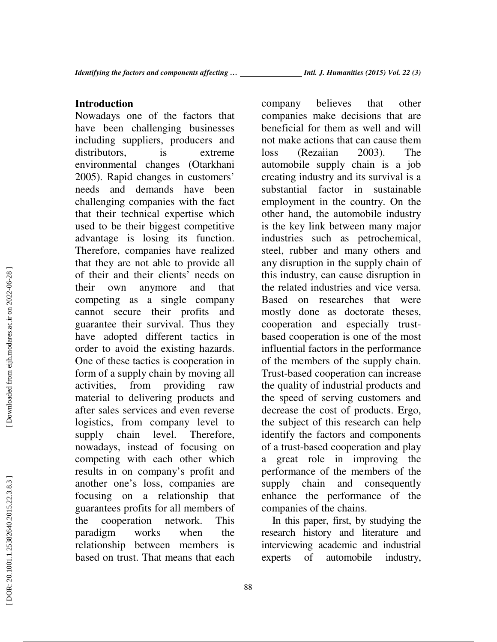## **Introduction**

Nowadays one of the factors that have been challenging businesses including suppliers, producers and distributors, is extreme environmental changes (Otarkhani 2005). Rapid changes in customers' needs and demands have been challenging companies with the fact that their technical expertise which used to be their biggest competitive advantage is losing its function. Therefore, companies have realized that they are not able to provide all of their and their clients' needs on their own anymore and that competing as a single company cannot secure their profits and guarantee their survival. Thus they have adopted different tactics in order to avoid the existing hazards. One of these tactics is cooperation in form of a supply chain by moving all activities, from providing raw material to delivering products and after sales services and even reverse logistics, from company level to supply chain level. Therefore, nowadays, instead of focusing on competing with each other which results in on company's profit and another one's loss, companies are focusing on a relationship that guarantees profits for all members of the cooperation network. This paradigm works when the relationship between members is based on trust. That means that each

company believes that other companies make decisions that are beneficial for them as well and will not make actions that can cause them loss (Rezaiian 2003). The automobile supply chain is a job creating industry and its survival is a substantial factor in sustainable employment in the country. On the other hand, the automobile industry is the key link between many major industries such as petrochemical, steel, rubber and many others and any disruption in the supply chain of this industry, can cause disruption in the related industries and vice versa. Based on researches that were mostly done as doctorate theses, cooperation and especially trustbased cooperation is one of the most influential factors in the performance of the members of the supply chain. Trust-based cooperation can increase the quality of industrial products and the speed of serving customers and decrease the cost of products. Ergo, the subject of this research can help identify the factors and components of a trust-based cooperation and play great role in improving the performance of the members of the supply chain and consequently enhance the performance of the companies of the chains.

In this paper, first, by studying the research history and literature and interviewing academic and industrial experts of automobile industry,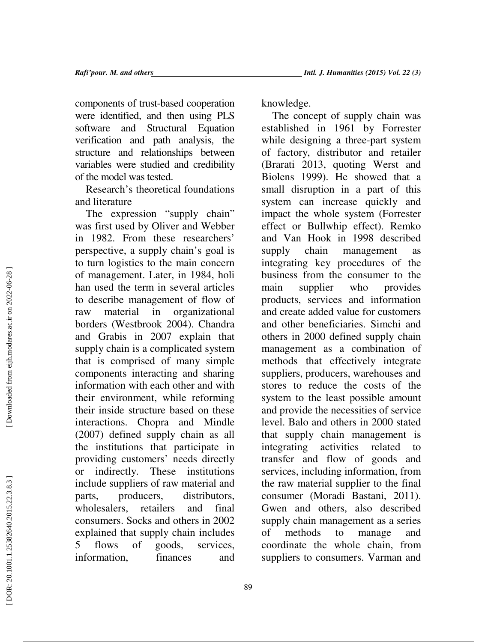components of trust-based cooperation were identified, and then using PLS software and Structural Equation verification and path analysis, the structure and relationships between variables were studied and credibility of the model was tested.

Research's theoretical foundations and literature

The expression "supply chain" was first used by Oliver and Webber in 1982. From these researchers' perspective, a supply chain's goal is to turn logistics to the main concern of management. Later, in 1984, holi han used the term in several articles to describe management of flow of raw material in organizational borders (Westbrook 2004). Chandra and Grabis in 2007 explain that supply chain is a complicated system that is comprised of many simple components interacting and sharing information with each other and with their environment, while reforming their inside structure based on these interactions. Chopra and Mindle (2007) defined supply chain as all the institutions that participate in providing customers' needs directly or indirectly. These institutions include suppliers of raw material and parts, producers, distributors, wholesalers, retailers and final consumers. Socks and others in 2002 explained that supply chain includes 5 flows of goods, services, information, finances and knowledge.

The concept of supply chain was established in 1961 by Forrester while designing a three-part system of factory, distributor and retailer (Brarati 2013, quoting Werst and Biolens 1999). He showed that a small disruption in a part of this system can increase quickly and impact the whole system (Forrester effect or Bullwhip effect). Remko and Van Hook in 1998 described supply chain management as integrating key procedures of the business from the consumer to the main supplier who provides products, services and information and create added value for customers and other beneficiaries. Simchi and others in 2000 defined supply chain management as a combination of methods that effectively integrate suppliers, producers, warehouses and stores to reduce the costs of the system to the least possible amount and provide the necessities of service level. Balo and others in 2000 stated that supply chain management is integrating activities related to transfer and flow of goods and services, including information, from the raw material supplier to the final consumer (Moradi Bastani, 2011). Gwen and others, also described supply chain management as a series of methods to manage and coordinate the whole chain, from suppliers to consumers. Varman and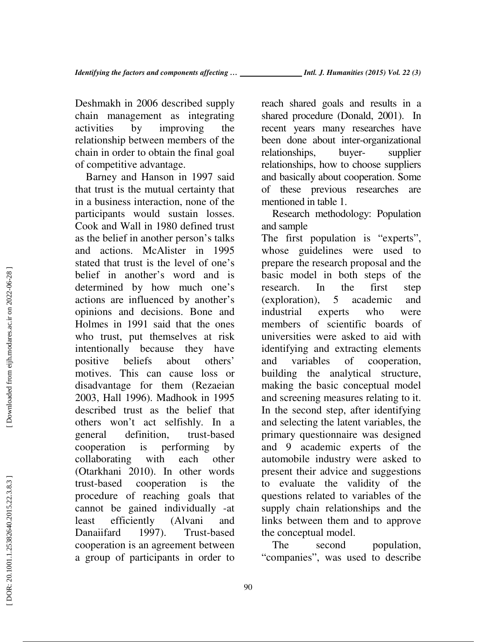Deshmakh in 2006 described supply chain management as integrating activities by improving the relationship between members of the chain in order to obtain the final goal of competitive advantage.

Barney and Hanson in 1997 said that trust is the mutual certainty that in a business interaction, none of the participants would sustain losses. Cook and Wall in 1980 defined trust as the belief in another person's talks and actions. McAlister in 1995 stated that trust is the level of one's belief in another's word and is determined by how much one's actions are influenced by another's opinions and decisions. Bone and Holmes in 1991 said that the ones who trust, put themselves at risk intentionally because they have positive beliefs about others' motives. This can cause loss or disadvantage for them (Rezaeian 2003, Hall 1996). Madhook in 1995 described trust as the belief that others won't act selfishly. In a general definition, trust-based cooperation is performing by collaborating with each other (Otarkhani 2010). In other words trust-based cooperation is the procedure of reaching goals that cannot be gained individually -at least efficiently (Alvani and Danaiifard 1997). Trust-based cooperation is an agreement between a group of participants in order to reach shared goals and results in a shared procedure (Donald, 2001). In recent years many researches have been done about inter-organizational relationships, buyer- supplier relationships, how to choose suppliers and basically about cooperation. Some of these previous researches are mentioned in table 1.

Research methodology: Population and sample

The first population is "experts", whose guidelines were used to prepare the research proposal and the basic model in both steps of the research. In the first step (exploration), 5 academic and industrial experts who were members of scientific boards of universities were asked to aid with identifying and extracting elements and variables of cooperation, building the analytical structure, making the basic conceptual model and screening measures relating to it. In the second step, after identifying and selecting the latent variables, the primary questionnaire was designed and 9 academic experts of the automobile industry were asked to present their advice and suggestions to evaluate the validity of the questions related to variables of the supply chain relationships and the links between them and to approve the conceptual model.

The second population, "companies", was used to describe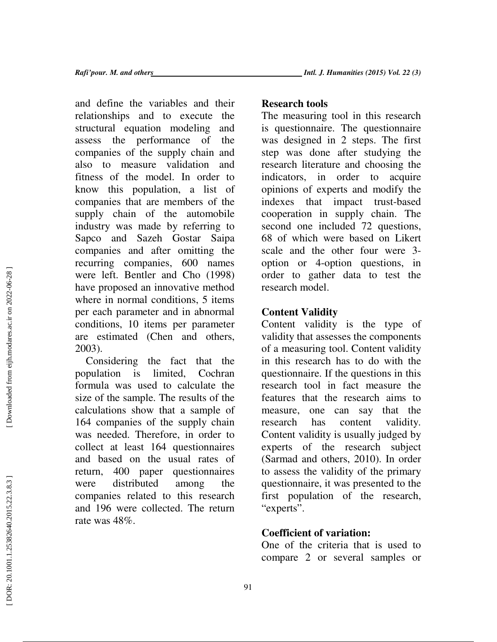and define the variables and their relationships and to execute the structural equation modeling and assess the performance of the companies of the supply chain and also to measure validation and fitness of the model. In order to know this population, a list of companies that are members of the supply chain of the automobile industry was made by referring to Sapco and Sazeh Gostar Saipa companies and after omitting the recurring companies, 600 names were left. Bentler and Cho (1998) have proposed an innovative method where in normal conditions, 5 items per each parameter and in abnormal conditions, 10 items per parameter are estimated (Chen and others, 2003).

Considering the fact that the population is limited, Cochran formula was used to calculate the size of the sample. The results of the calculations show that a sample of 164 companies of the supply chain was needed. Therefore, in order to collect at least 164 questionnaires and based on the usual rates of return, 400 paper questionnaires were distributed among the companies related to this research and 196 were collected. The return rate was 48%.

# **Research tools**

The measuring tool in this research is questionnaire. The questionnaire was designed in 2 steps. The first step was done after studying the research literature and choosing the indicators, in order to acquire opinions of experts and modify the indexes that impact trust-based cooperation in supply chain. The second one included 72 questions, 68 of which were based on Likert scale and the other four were 3 option or 4-option questions, in order to gather data to test the research model.

# **Content Validity**

Content validity is the type of validity that assesses the components of a measuring tool. Content validity in this research has to do with the questionnaire. If the questions in this research tool in fact measure the features that the research aims to measure, one can say that the research has content validity. Content validity is usually judged by experts of the research subject (Sarmad and others, 2010). In order to assess the validity of the primary questionnaire, it was presented to the first population of the research, "experts".

# **Coefficient of variation:**

One of the criteria that is used to compare 2 or several samples or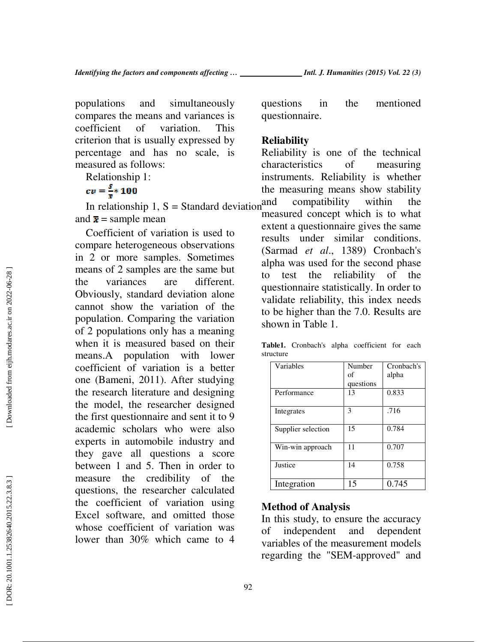populations and simultaneously compares the means and variances is coefficient of variation. This criterion that is usually expressed by percentage and has no scale, is measured as follows:

Relationship 1:

 $cv = \frac{s}{\overline{x}} * 100$ 

In relationship 1,  $S =$  Standard deviation<sup>and</sup> and  $\bar{x}$  = sample mean

Coefficient of variation is used to compare heterogeneous observations in 2 or more samples. Sometimes means of 2 samples are the same but the variances are different. Obviously, standard deviation alone cannot show the variation of the population. Comparing the variation of 2 populations only has a meaning when it is measured based on their means.A population with lower coefficient of variation is a better one (Bameni, 2011). After studying the research literature and designing the model, the researcher designed the first questionnaire and sent it to 9 academic scholars who were also experts in automobile industry and they gave all questions a score between 1 and 5. Then in order to measure the credibility of the questions, the researcher calculated the coefficient of variation using Excel software, and omitted those whose coefficient of variation was lower than 30% which came to 4 questions in the mentioned questionnaire.

### **Reliability**

Reliability is one of the technical characteristics of measuring instruments. Reliability is whether the measuring means show stability compatibility within the measured concept which is to what extent a questionnaire gives the same results under similar conditions. (Sarmad *et al*., 1389) Cronbach's alpha was used for the second phase to test the reliability of the questionnaire statistically. In order to validate reliability, this index needs to be higher than the 7.0. Results are shown in Table 1.

**Table1.** Cronbach's alpha coefficient for each structure

| Variables          | Number    | Cronbach's |
|--------------------|-----------|------------|
|                    | of        | alpha      |
|                    | questions |            |
| Performance        | 13        | 0.833      |
|                    |           |            |
| Integrates         | 3         | .716       |
|                    |           |            |
| Supplier selection | 15        | 0.784      |
|                    |           |            |
| Win-win approach   | 11        | 0.707      |
|                    |           |            |
| Justice            | 14        | 0.758      |
|                    |           |            |
| Integration        | 15        | 0.745      |

## **Method of Analysis**

In this study, to ensure the accuracy of independent and dependent variables of the measurement models regarding the "SEM-approved" and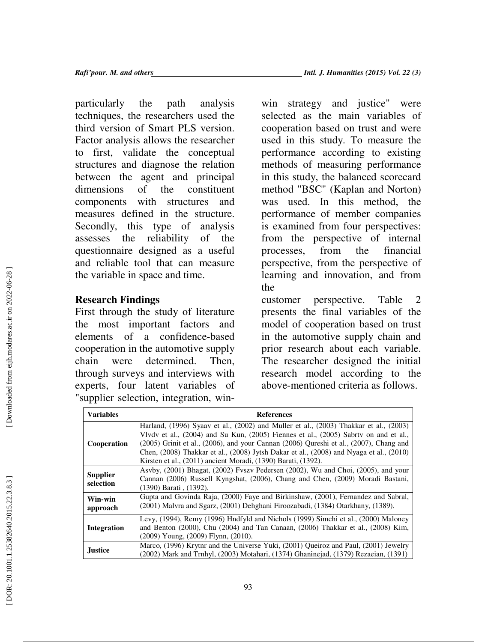particularly the path analysis techniques, the researchers used the third version of Smart PLS version. Factor analysis allows the researcher to first, validate the conceptual structures and diagnose the relation between the agent and principal dimensions of the constituent components with structures and measures defined in the structure. Secondly, this type of analysis assesses the reliability of the questionnaire designed as a useful and reliable tool that can measure the variable in space and time.

# **Research Findings**

First through the study of literature the most important factors and elements of a confidence-based cooperation in the automotive supply chain were determined. Then, through surveys and interviews with experts, four latent variables of "supplier selection, integration, win-

win strategy and justice" were selected as the main variables of cooperation based on trust and were used in this study. To measure the performance according to existing methods of measuring performance in this study, the balanced scorecard method "BSC" (Kaplan and Norton) was used. In this method, the performance of member companies is examined from four perspectives: from the perspective of internal processes, from the financial perspective, from the perspective of learning and innovation, and from the

customer perspective. Table 2 presents the final variables of the model of cooperation based on trust in the automotive supply chain and prior research about each variable. The researcher designed the initial research model according to the above-mentioned criteria as follows.

| <b>Variables</b> | <b>References</b>                                                                                |
|------------------|--------------------------------------------------------------------------------------------------|
| Cooperation      | Harland, (1996) Syaav et al., (2002) and Muller et al., (2003) Thakkar et al., (2003)            |
|                  | Vlvdy et al., (2004) and Su Kun, (2005) Fiennes et al., (2005) Sabrty on and et al.,             |
|                  | $(2005)$ Grinit et al., $(2006)$ , and your Cannan $(2006)$ Qureshi et al., $(2007)$ , Chang and |
|                  | Chen, (2008) Thakkar et al., (2008) Jytsh Dakar et al., (2008) and Nyaga et al., (2010)          |
|                  | Kirsten et al., (2011) ancient Moradi, (1390) Barati, (1392).                                    |
|                  | Asvby, (2001) Bhagat, (2002) Fyszy Pedersen (2002), Wu and Choi, (2005), and your                |
| <b>Supplier</b>  | Cannan (2006) Russell Kyngshat, (2006), Chang and Chen, (2009) Moradi Bastani,                   |
| selection        | (1390) Barati, (1392).                                                                           |
| Win-win          | Gupta and Govinda Raja, (2000) Faye and Birkinshaw, (2001), Fernandez and Sabral,                |
| approach         | (2001) Malvra and Sgarz, (2001) Dehghani Firoozabadi, (1384) Otarkhany, (1389).                  |
| Integration      | Levy, (1994), Remy (1996) Hndfyld and Nichols (1999) Simchi et al., (2000) Maloney               |
|                  | and Benton (2000), Chu (2004) and Tan Canaan, (2006) Thakkar et al., (2008) Kim,                 |
|                  | $(2009)$ Young, $(2009)$ Flynn, $(2010)$ .                                                       |
|                  | Marco, (1996) Krytnr and the Universe Yuki, (2001) Queiroz and Paul, (2001) Jewelry              |
| <b>Justice</b>   | (2002) Mark and Trnhyl, (2003) Motahari, (1374) Ghaninejad, (1379) Rezaeian, (1391)              |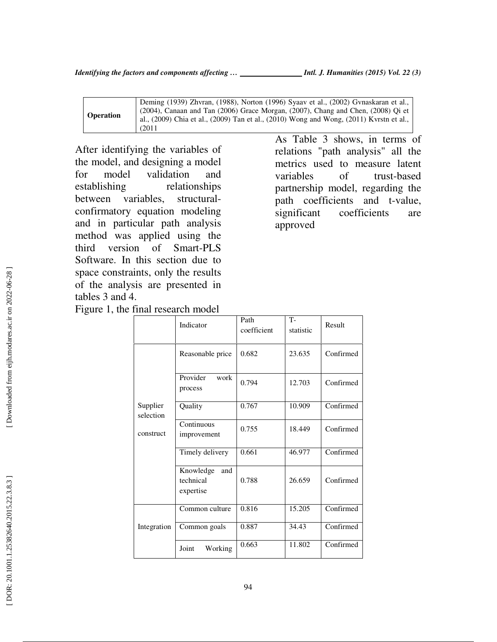|                  | Deming (1939) Zhvran, (1988), Norton (1996) Syaav et al., (2002) Gvnaskaran et al.,     |
|------------------|-----------------------------------------------------------------------------------------|
| <b>Operation</b> | (2004), Canaan and Tan (2006) Grace Morgan, (2007), Chang and Chen, (2008) Qi et        |
|                  | al., (2009) Chia et al., (2009) Tan et al., (2010) Wong and Wong, (2011) Kvrstn et al., |
|                  | (2011)                                                                                  |

After identifying the variables of the model, and designing a model for model validation and establishing relationships between variables, structuralconfirmatory equation modeling and in particular path analysis method was applied using the third version of Smart-PLS Software. In this section due to space constraints, only the results of the analysis are presented in tables 3 and 4.

As Table 3 shows, in terms of relations "path analysis" all the metrics used to measure latent variables of trust-based partnership model, regarding the path coefficients and t-value, significant coefficients are approved

|                                    | Indicator                                  | Path<br>coefficient | $T-$<br>statistic | Result    |
|------------------------------------|--------------------------------------------|---------------------|-------------------|-----------|
| Supplier<br>selection<br>construct | Reasonable price                           | 0.682               | 23.635            | Confirmed |
|                                    | Provider<br>work<br>process                | 0.794               | 12.703            | Confirmed |
|                                    | Quality                                    | 0.767               | 10.909            | Confirmed |
|                                    | Continuous<br>improvement                  | 0.755               | 18.449            | Confirmed |
|                                    | Timely delivery                            | 0.661               | 46.977            | Confirmed |
|                                    | Knowledge<br>and<br>technical<br>expertise | 0.788               | 26.659            | Confirmed |
| Integration                        | Common culture                             | 0.816               | 15.205            | Confirmed |
|                                    | Common goals                               | 0.887               | 34.43             | Confirmed |
|                                    | Working<br>Joint                           | 0.663               | 11.802            | Confirmed |
|                                    |                                            |                     |                   |           |

Figure 1, the final research model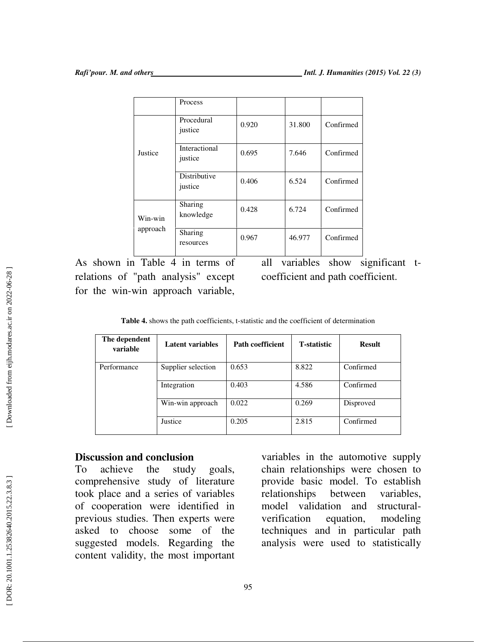|                     | Process                         |       |        |           |
|---------------------|---------------------------------|-------|--------|-----------|
| Justice             | Procedural<br>justice           | 0.920 | 31.800 | Confirmed |
|                     | <b>Interactional</b><br>justice | 0.695 | 7.646  | Confirmed |
|                     | Distributive<br>justice         | 0.406 | 6.524  | Confirmed |
| Win-win<br>approach | Sharing<br>knowledge            | 0.428 | 6.724  | Confirmed |
|                     | Sharing<br>resources            | 0.967 | 46.977 | Confirmed |

As shown in Table 4 in terms of relations of "path analysis" except for the win-win approach variable,

all variables show significant tcoefficient and path coefficient.

**Table 4.** shows the path coefficients, t-statistic and the coefficient of determination

| The dependent<br>variable | Latent variables   | <b>Path coefficient</b> | <b>T</b> -statistic | <b>Result</b> |
|---------------------------|--------------------|-------------------------|---------------------|---------------|
| Performance               | Supplier selection | 0.653                   | 8.822               | Confirmed     |
|                           | Integration        | 0.403                   | 4.586               | Confirmed     |
|                           | Win-win approach   | 0.022                   | 0.269               | Disproved     |
|                           | Justice            | 0.205                   | 2.815               | Confirmed     |

## **Discussion and conclusion**

To achieve the study goals, comprehensive study of literature took place and a series of variables of cooperation were identified in previous studies. Then experts were asked to choose some of the suggested models. Regarding the content validity, the most important variables in the automotive supply chain relationships were chosen to provide basic model. To establish relationships between variables, model validation and structuralverification equation, modeling techniques and in particular path analysis were used to statistically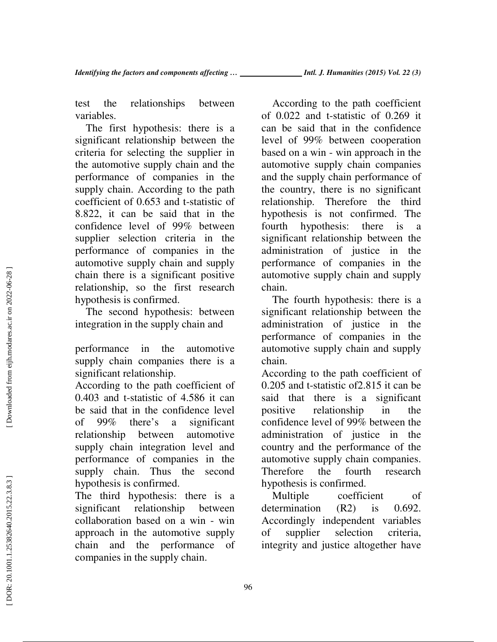test the relationships between variables.

The first hypothesis: there is a significant relationship between the criteria for selecting the supplier in the automotive supply chain and the performance of companies in the supply chain. According to the path coefficient of 0.653 and t-statistic of 8.822, it can be said that in the confidence level of 99% between supplier selection criteria in the performance of companies in the automotive supply chain and supply chain there is a significant positive relationship, so the first research hypothesis is confirmed.

The second hypothesis: between integration in the supply chain and

performance in the automotive supply chain companies there is a significant relationship.

According to the path coefficient of 0.403 and t-statistic of 4.586 it can be said that in the confidence level of 99% there's a significant relationship between automotive supply chain integration level and performance of companies in the supply chain. Thus the second hypothesis is confirmed.

The third hypothesis: there is a significant relationship between collaboration based on a win - win approach in the automotive supply chain and the performance of companies in the supply chain.

According to the path coefficient of 0.022 and t-statistic of 0.269 it can be said that in the confidence level of 99% between cooperation based on a win - win approach in the automotive supply chain companies and the supply chain performance of the country, there is no significant relationship. Therefore the third hypothesis is not confirmed. The fourth hypothesis: there is a significant relationship between the administration of justice in the performance of companies in the automotive supply chain and supply chain.

The fourth hypothesis: there is a significant relationship between the administration of justice in the performance of companies in the automotive supply chain and supply chain.

According to the path coefficient of 0.205 and t-statistic of2.815 it can be said that there is a significant positive relationship in the confidence level of 99% between the administration of justice in the country and the performance of the automotive supply chain companies. Therefore the fourth research hypothesis is confirmed.

Multiple coefficient of determination (R2) is 0.692. Accordingly independent variables of supplier selection criteria, integrity and justice altogether have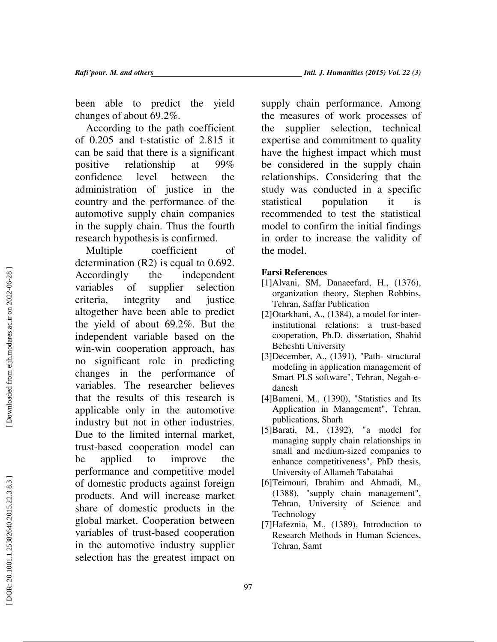been able to predict the yield changes of about 69.2%.

According to the path coefficient of 0.205 and t-statistic of 2.815 it can be said that there is a significant positive relationship at 99% confidence level between the administration of justice in the country and the performance of the automotive supply chain companies in the supply chain. Thus the fourth research hypothesis is confirmed.

Multiple coefficient of determination (R2) is equal to 0.692. Accordingly the independent variables of supplier selection criteria, integrity and justice altogether have been able to predict the yield of about 69.2%. But the independent variable based on the win-win cooperation approach, has no significant role in predicting changes in the performance of variables. The researcher believes that the results of this research is applicable only in the automotive industry but not in other industries. Due to the limited internal market, trust-based cooperation model can be applied to improve the performance and competitive model of domestic products against foreign products. And will increase market share of domestic products in the global market. Cooperation between variables of trust-based cooperation in the automotive industry supplier selection has the greatest impact on

supply chain performance. Among the measures of work processes of the supplier selection, technical expertise and commitment to quality have the highest impact which must be considered in the supply chain relationships. Considering that the study was conducted in a specific statistical population it is recommended to test the statistical model to confirm the initial findings in order to increase the validity of the model.

#### **Farsi References**

- [1]Alvani, SM, Danaeefard, H., (1376), organization theory, Stephen Robbins, Tehran, Saffar Publication
- [2]Otarkhani, A., (1384), a model for interinstitutional relations: a trust-based cooperation, Ph.D. dissertation, Shahid Beheshti University
- [3]December, A., (1391), "Path- structural modeling in application management of Smart PLS software", Tehran, Negah-edanesh
- [4]Bameni, M., (1390), "Statistics and Its Application in Management", Tehran, publications, Sharh
- [5]Barati, M., (1392), "a model for managing supply chain relationships in small and medium-sized companies to enhance competitiveness", PhD thesis, University of Allameh Tabatabai
- [6]Teimouri, Ibrahim and Ahmadi, M., (1388), "supply chain management", Tehran, University of Science and Technology
- [7]Hafeznia, M., (1389), Introduction to Research Methods in Human Sciences, Tehran, Samt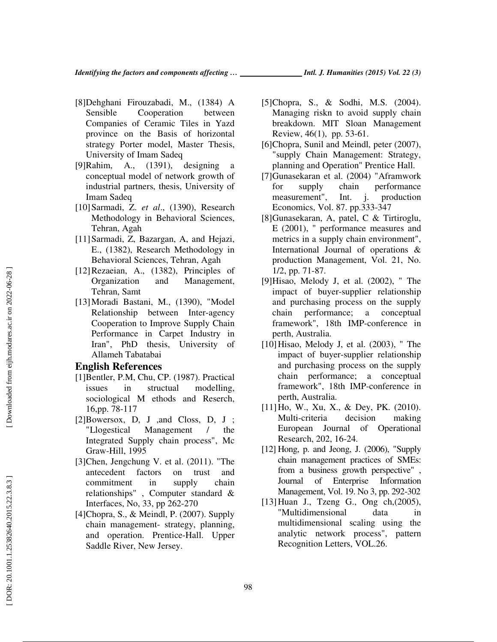- [8]Dehghani Firouzabadi, M., (1384) A Sensible Cooperation between Companies of Ceramic Tiles in Yazd province on the Basis of horizontal strategy Porter model, Master Thesis, University of Imam Sadeq
- [9]Rahim, A., (1391), designing a conceptual model of network growth of industrial partners, thesis, University of Imam Sadeq
- [10]Sarmadi, Z. *et al*., (1390), Research Methodology in Behavioral Sciences, Tehran, Agah
- [11]Sarmadi, Z, Bazargan, A, and Hejazi, E., (1382), Research Methodology in Behavioral Sciences, Tehran, Agah
- [12]Rezaeian, A., (1382), Principles of Organization and Management, Tehran, Samt
- [13]Moradi Bastani, M., (1390), "Model Relationship between Inter-agency Cooperation to Improve Supply Chain Performance in Carpet Industry in Iran", PhD thesis, University of Allameh Tabatabai

#### **English References**

- [1]Bentler, P.M, Chu, CP. (1987). Practical issues in structual modelling, sociological M ethods and Reserch, 16,pp. 78-117
- [2]Bowersox, D, J ,and Closs, D, J ; "Llogestical Management / the Integrated Supply chain process", Mc Graw-Hill, 1995
- [3]Chen, Jengchung V. et al. (2011). "The antecedent factors on trust and commitment in supply chain relationships" , Computer standard & Interfaces, No, 33, pp 262-270
- [4]Chopra, S., & Meindl, P. (2007). Supply chain management- strategy, planning, and operation. Prentice-Hall. Upper Saddle River, New Jersey.
- [5]Chopra, S., & Sodhi, M.S. (2004). Managing riskn to avoid supply chain breakdown. MIT Sloan Management Review, 46(1), pp. 53-61.
- [6]Chopra, Sunil and Meindl, peter (2007), "supply Chain Management: Strategy, planning and Operation" Prentice Hall.
- [7]Gunasekaran et al. (2004) "Aframwork for supply chain performance measurement", Int. j. production Economics, Vol. 87. pp.333-347
- [8]Gunasekaran, A, patel, C & Tirtiroglu, E (2001), " performance measures and metrics in a supply chain environment", International Journal of operations & production Management, Vol. 21, No. 1/2, pp. 71-87.
- [9]Hisao, Melody J, et al. (2002), " The impact of buyer-supplier relationship and purchasing process on the supply chain performance; a conceptual framework", 18th IMP-conference in perth, Australia.
- [10]Hisao, Melody J, et al. (2003), " The impact of buyer-supplier relationship and purchasing process on the supply chain performance; a conceptual framework", 18th IMP-conference in perth, Australia.
- [11] Ho, W., Xu, X., & Dey, PK. (2010). Multi-criteria decision making European Journal of Operational Research, 202, 16-24.
- [12] Hong, p. and Jeong, J. (2006), "Supply chain management practices of SMEs: from a business growth perspective" , Journal of Enterprise Information Management, Vol. 19. No 3, pp. 292-302
- [13]Huan J., Tzeng G., Ong ch,(2005), "Multidimensional data in multidimensional scaling using the analytic network process", pattern Recognition Letters, VOL.26.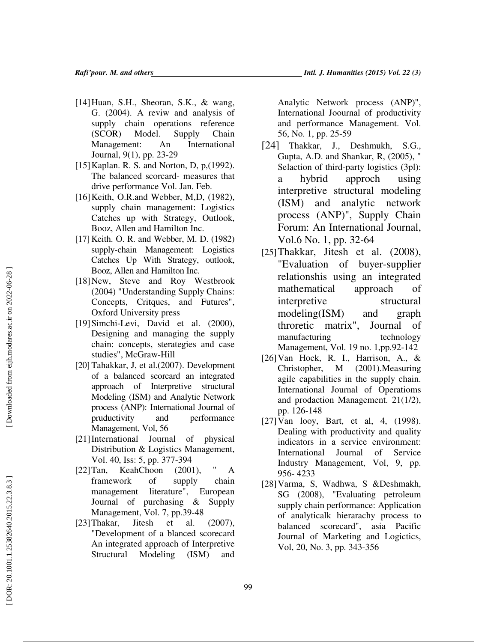- [14]Huan, S.H., Sheoran, S.K., & wang, G. (2004). A reviw and analysis of supply chain operations reference (SCOR) Model. Supply Chain Management: An International Journal, 9(1), pp. 23-29
- [15]Kaplan. R. S. and Norton, D, p,(1992). The balanced scorcard- measures that drive performance Vol. Jan. Feb.
- [16]Keith, O.R.and Webber, M,D, (1982), supply chain management: Logistics Catches up with Strategy, Outlook, Booz, Allen and Hamilton Inc.
- [17] Keith. O. R. and Webber, M. D. (1982) supply-chain Management: Logistics Catches Up With Strategy, outlook, Booz, Allen and Hamilton Inc.
- [18]New, Steve and Roy Westbrook (2004) "Understanding Supply Chains: Concepts, Critques, and Futures", Oxford University press
- [19]Simchi-Levi, David et al. (2000), Designing and managing the supply chain: concepts, sterategies and case studies", McGraw-Hill
- [20] Tahakkar, J, et al.(2007). Development of a balanced scorcard an integrated approach of Interpretive structural Modeling (ISM) and Analytic Network process (ANP): International Journal of pruductivity and performance Management, Vol, 56
- [21]International Journal of physical Distribution & Logistics Management, Vol. 40, Iss: 5, pp. 377-394
- [22]Tan, KeahChoon (2001), " A framework of supply chain management literature", European Journal of purchasing & Supply Management, Vol. 7, pp.39-48
- [23]Thakar, Jitesh et al. (2007), "Development of a blanced scorecard An integrated approach of Interpretive Structural Modeling (ISM) and

Analytic Network process (ANP)", International Joournal of productivity and performance Management. Vol. 56, No. 1, pp. 25-59

- [24] Thakkar, J., Deshmukh, S.G., Gupta, A.D. and Shankar, R, (2005), " Selaction of third-party logistics (3pl): a hybrid approch using interpretive structural modeling (ISM) and analytic network process (ANP)", Supply Chain Forum: An International Journal, Vol.6 No. 1, pp. 32-64
- [25]Thakkar, Jitesh et al. (2008), "Evaluation of buyer-supplier relationshis using an integrated mathematical approach of interpretive structural modeling(ISM) and graph throretic matrix", Journal of manufacturing technology Management, Vol. 19 no. 1,pp.92-142
- [26]Van Hock, R. I., Harrison, A., & Christopher, M (2001).Measuring agile capabilities in the supply chain. International Journal of Operatioms and prodaction Management. 21(1/2), pp. 126-148
- [27]Van looy, Bart, et al, 4, (1998). Dealing with productivity and quality indicators in a service environment: International Journal of Service Industry Management, Vol, 9, pp. 956- 4233
- [28]Varma, S, Wadhwa, S &Deshmakh, SG (2008), "Evaluating petroleum supply chain performance: Application of analyticalk hierarachy process to balanced scorecard", asia Pacific Journal of Marketing and Logictics, Vol, 20, No. 3, pp. 343-356